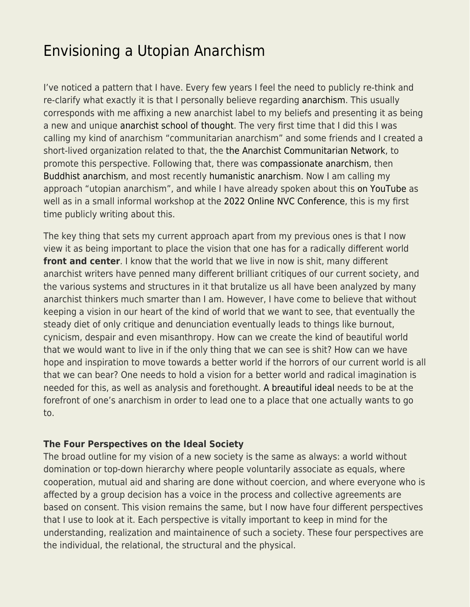# [Envisioning a Utopian Anarchism](https://everything-voluntary.com/envisioning-a-utopian-anarchism)

I've noticed a pattern that I have. Every few years I feel the need to publicly re-think and re-clarify what exactly it is that I personally believe regarding [anarchism](https://en.wikipedia.org/wiki/Anarchism). This usually corresponds with me affixing a new anarchist label to my beliefs and presenting it as being a new and unique [anarchist school of thought.](https://en.wikipedia.org/wiki/Anarchist_schools_of_thought) The very first time that I did this I was calling my kind of anarchism "communitarian anarchism" and some friends and I created a short-lived organization related to that, the [the Anarchist Communitarian Network](https://www.ainfos.ca/01/may/ainfos00125.html), to promote this perspective. Following that, there was [compassionate anarchism,](http://www.en.nvcwiki.com/index.php/Compassionate_anarchism) then [Buddhist anarchism](http://parenthesiseye.blogspot.com/2011/03/reflections-on-buddhist-anarchism.html), and most recently [humanistic anarchism](http://parenthesiseye.blogspot.com/2016/12/my-kind-of-anarchism.html). Now I am calling my approach "utopian anarchism", and while I have already spoken about this [on YouTube](https://www.youtube.com/watch?v=qQHLY2zmg7I&t) as well as in a small informal workshop at the [2022 Online NVC Conference](https://nvctraining.com/live-nvc-courses/online-nvc-conference-2022), this is my first time publicly writing about this.

The key thing that sets my current approach apart from my previous ones is that I now view it as being important to place the vision that one has for a radically different world **front and center**. I know that the world that we live in now is shit, many different anarchist writers have penned many different brilliant critiques of our current society, and the various systems and structures in it that brutalize us all have been analyzed by many anarchist thinkers much smarter than I am. However, I have come to believe that without keeping a vision in our heart of the kind of world that we want to see, that eventually the steady diet of only critique and denunciation eventually leads to things like burnout, cynicism, despair and even misanthropy. How can we create the kind of beautiful world that we would want to live in if the only thing that we can see is shit? How can we have hope and inspiration to move towards a better world if the horrors of our current world is all that we can bear? One needs to hold a vision for a better world and radical imagination is needed for this, as well as analysis and forethought. [A breautiful ideal](https://theanarchistlibrary.org/library/emma-goldman-a-beautiful-ideal) needs to be at the forefront of one's anarchism in order to lead one to a place that one actually wants to go to.

#### **The Four Perspectives on the Ideal Society**

The broad outline for my vision of a new society is the same as always: a world without domination or top-down hierarchy where people voluntarily associate as equals, where cooperation, mutual aid and sharing are done without coercion, and where everyone who is affected by a group decision has a voice in the process and collective agreements are based on consent. This vision remains the same, but I now have four different perspectives that I use to look at it. Each perspective is vitally important to keep in mind for the understanding, realization and maintainence of such a society. These four perspectives are the individual, the relational, the structural and the physical.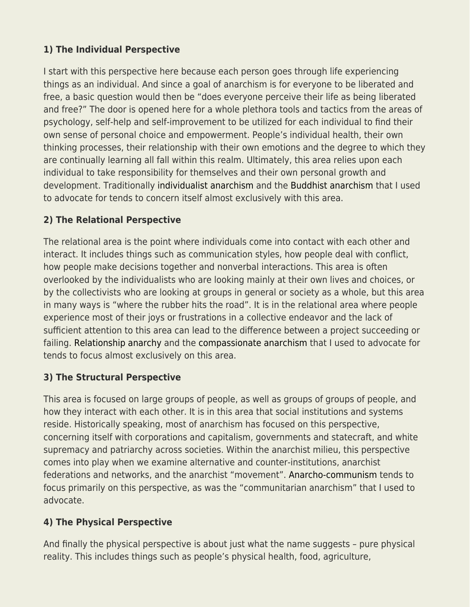# **1) The Individual Perspective**

I start with this perspective here because each person goes through life experiencing things as an individual. And since a goal of anarchism is for everyone to be liberated and free, a basic question would then be "does everyone perceive their life as being liberated and free?" The door is opened here for a whole plethora tools and tactics from the areas of psychology, self-help and self-improvement to be utilized for each individual to find their own sense of personal choice and empowerment. People's individual health, their own thinking processes, their relationship with their own emotions and the degree to which they are continually learning all fall within this realm. Ultimately, this area relies upon each individual to take responsibility for themselves and their own personal growth and development. Traditionally [individualist anarchism](https://en.wikipedia.org/wiki/Individualist_anarchism) and the [Buddhist anarchism](http://parenthesiseye.blogspot.com/2011/03/reflections-on-buddhist-anarchism.html) that I used to advocate for tends to concern itself almost exclusively with this area.

# **2) The Relational Perspective**

The relational area is the point where individuals come into contact with each other and interact. It includes things such as communication styles, how people deal with conflict, how people make decisions together and nonverbal interactions. This area is often overlooked by the individualists who are looking mainly at their own lives and choices, or by the collectivists who are looking at groups in general or society as a whole, but this area in many ways is "where the rubber hits the road". It is in the relational area where people experience most of their joys or frustrations in a collective endeavor and the lack of sufficient attention to this area can lead to the difference between a project succeeding or failing. [Relationship anarchy](https://en.wikipedia.org/wiki/Relationship_anarchy) and the [compassionate anarchism](http://www.en.nvcwiki.com/index.php/Compassionate_anarchism) that I used to advocate for tends to focus almost exclusively on this area.

# **3) The Structural Perspective**

This area is focused on large groups of people, as well as groups of groups of people, and how they interact with each other. It is in this area that social institutions and systems reside. Historically speaking, most of anarchism has focused on this perspective, concerning itself with corporations and capitalism, governments and statecraft, and white supremacy and patriarchy across societies. Within the anarchist milieu, this perspective comes into play when we examine alternative and counter-institutions, anarchist federations and networks, and the anarchist "movement". [Anarcho-communism](https://en.wikipedia.org/wiki/Anarcho-communism) tends to focus primarily on this perspective, as was the "communitarian anarchism" that I used to advocate.

# **4) The Physical Perspective**

And finally the physical perspective is about just what the name suggests – pure physical reality. This includes things such as people's physical health, food, agriculture,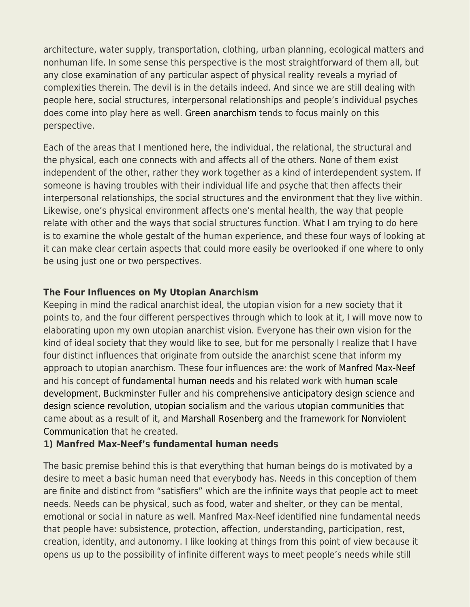architecture, water supply, transportation, clothing, urban planning, ecological matters and nonhuman life. In some sense this perspective is the most straightforward of them all, but any close examination of any particular aspect of physical reality reveals a myriad of complexities therein. The devil is in the details indeed. And since we are still dealing with people here, social structures, interpersonal relationships and people's individual psyches does come into play here as well. [Green anarchism](https://en.wikipedia.org/wiki/Green_anarchism) tends to focus mainly on this perspective.

Each of the areas that I mentioned here, the individual, the relational, the structural and the physical, each one connects with and affects all of the others. None of them exist independent of the other, rather they work together as a kind of interdependent system. If someone is having troubles with their individual life and psyche that then affects their interpersonal relationships, the social structures and the environment that they live within. Likewise, one's physical environment affects one's mental health, the way that people relate with other and the ways that social structures function. What I am trying to do here is to examine the whole gestalt of the human experience, and these four ways of looking at it can make clear certain aspects that could more easily be overlooked if one where to only be using just one or two perspectives.

#### **The Four Influences on My Utopian Anarchism**

Keeping in mind the radical anarchist ideal, the utopian vision for a new society that it points to, and the four different perspectives through which to look at it, I will move now to elaborating upon my own utopian anarchist vision. Everyone has their own vision for the kind of ideal society that they would like to see, but for me personally I realize that I have four distinct influences that originate from outside the anarchist scene that inform my approach to utopian anarchism. These four influences are: the work of [Manfred Max-Neef](https://en.wikipedia.org/wiki/Manfred_Max-Neef) and his concept of [fundamental human needs](https://en.wikipedia.org/wiki/Manfred_Max-Neef%27s_Fundamental_human_needs) and his related work with [human scale](https://web.archive.org/web/20130319153338/http://www.max-neef.cl/download/Max-neef_Human_Scale_development.pdf) [development,](https://web.archive.org/web/20130319153338/http://www.max-neef.cl/download/Max-neef_Human_Scale_development.pdf) [Buckminster Fuller](https://en.wikipedia.org/wiki/Buckminster_Fuller) and his [comprehensive anticipatory design science](https://www.bfi.org/about-fuller/big-ideas/design-science/) and [design science revolution,](https://en.wikipedia.org/wiki/Design_science_revolution) [utopian socialism](https://en.wikipedia.org/wiki/Utopian_socialism) and the various [utopian communities](https://en.wikipedia.org/wiki/Utopian_socialism#Notable_utopian_communities) that came about as a result of it, and [Marshall Rosenberg](https://en.wikipedia.org/wiki/Marshall_Rosenberg) and the framework for [Nonviolent](https://en.wikipedia.org/wiki/Nonviolent_Communication) [Communication](https://en.wikipedia.org/wiki/Nonviolent_Communication) that he created.

#### **1) Manfred Max-Neef's fundamental human needs**

The basic premise behind this is that everything that human beings do is motivated by a desire to meet a basic human need that everybody has. Needs in this conception of them are finite and distinct from "satisfiers" which are the infinite ways that people act to meet needs. Needs can be physical, such as food, water and shelter, or they can be mental, emotional or social in nature as well. Manfred Max-Neef identified nine fundamental needs that people have: subsistence, protection, affection, understanding, participation, rest, creation, identity, and autonomy. I like looking at things from this point of view because it opens us up to the possibility of infinite different ways to meet people's needs while still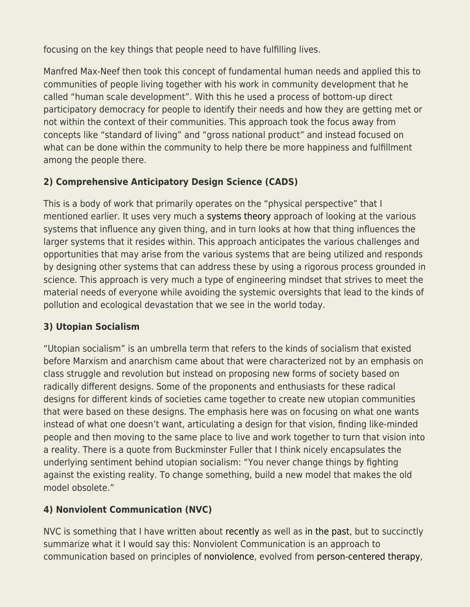focusing on the key things that people need to have fulfilling lives.

Manfred Max-Neef then took this concept of fundamental human needs and applied this to communities of people living together with his work in community development that he called "human scale development". With this he used a process of bottom-up direct participatory democracy for people to identify their needs and how they are getting met or not within the context of their communities. This approach took the focus away from concepts like "standard of living" and "gross national product" and instead focused on what can be done within the community to help there be more happiness and fulfillment among the people there.

# **2) Comprehensive Anticipatory Design Science (CADS)**

This is a body of work that primarily operates on the "physical perspective" that I mentioned earlier. It uses very much a [systems theory](https://en.wikipedia.org/wiki/Systems_theory) approach of looking at the various systems that influence any given thing, and in turn looks at how that thing influences the larger systems that it resides within. This approach anticipates the various challenges and opportunities that may arise from the various systems that are being utilized and responds by designing other systems that can address these by using a rigorous process grounded in science. This approach is very much a type of engineering mindset that strives to meet the material needs of everyone while avoiding the systemic oversights that lead to the kinds of pollution and ecological devastation that we see in the world today.

# **3) Utopian Socialism**

"Utopian socialism" is an umbrella term that refers to the kinds of socialism that existed before Marxism and anarchism came about that were characterized not by an emphasis on class struggle and revolution but instead on proposing new forms of society based on radically different designs. Some of the proponents and enthusiasts for these radical designs for different kinds of societies came together to create new utopian communities that were based on these designs. The emphasis here was on focusing on what one wants instead of what one doesn't want, articulating a design for that vision, finding like-minded people and then moving to the same place to live and work together to turn that vision into a reality. There is a quote from Buckminster Fuller that I think nicely encapsulates the underlying sentiment behind utopian socialism: "You never change things by fighting against the existing reality. To change something, build a new model that makes the old model obsolete."

# **4) Nonviolent Communication (NVC)**

NVC is something that I have written about [recently](http://parenthesiseye.blogspot.com/2022/05/my-continuing-relationship-with.html) as well as [in the past](http://parenthesiseye.blogspot.com/2013/03/reflections-from-ten-year-giraffe-freak.html), but to succinctly summarize what it I would say this: Nonviolent Communication is an approach to communication based on principles of [nonviolence](https://en.wikipedia.org/wiki/Nonviolence), evolved from [person-centered therapy](https://en.wikipedia.org/wiki/Person-centered_therapy),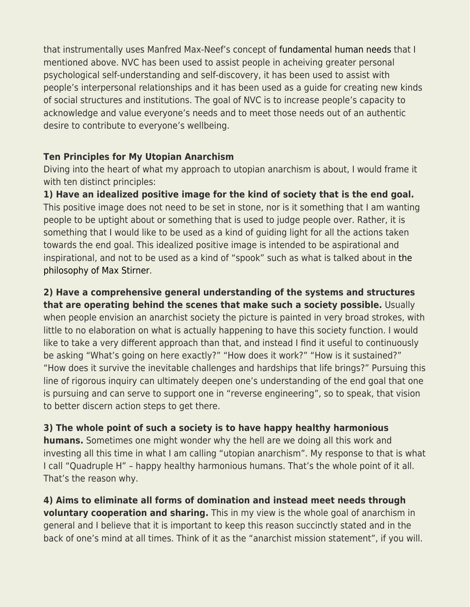that instrumentally uses Manfred Max-Neef's concept of [fundamental human needs](https://en.wikipedia.org/wiki/Manfred_Max-Neef%27s_Fundamental_human_needs) that I mentioned above. NVC has been used to assist people in acheiving greater personal psychological self-understanding and self-discovery, it has been used to assist with people's interpersonal relationships and it has been used as a guide for creating new kinds of social structures and institutions. The goal of NVC is to increase people's capacity to acknowledge and value everyone's needs and to meet those needs out of an authentic desire to contribute to everyone's wellbeing.

# **Ten Principles for My Utopian Anarchism**

Diving into the heart of what my approach to utopian anarchism is about, I would frame it with ten distinct principles:

**1) Have an idealized positive image for the kind of society that is the end goal.** This positive image does not need to be set in stone, nor is it something that I am wanting people to be uptight about or something that is used to judge people over. Rather, it is something that I would like to be used as a kind of guiding light for all the actions taken towards the end goal. This idealized positive image is intended to be aspirational and inspirational, and not to be used as a kind of "spook" such as what is talked about in [the](https://en.wikipedia.org/wiki/Max_Stirner#Philosophy) [philosophy of Max Stirner.](https://en.wikipedia.org/wiki/Max_Stirner#Philosophy)

**2) Have a comprehensive general understanding of the systems and structures that are operating behind the scenes that make such a society possible.** Usually when people envision an anarchist society the picture is painted in very broad strokes, with little to no elaboration on what is actually happening to have this society function. I would like to take a very different approach than that, and instead I find it useful to continuously be asking "What's going on here exactly?" "How does it work?" "How is it sustained?" "How does it survive the inevitable challenges and hardships that life brings?" Pursuing this line of rigorous inquiry can ultimately deepen one's understanding of the end goal that one is pursuing and can serve to support one in "reverse engineering", so to speak, that vision to better discern action steps to get there.

**3) The whole point of such a society is to have happy healthy harmonious humans.** Sometimes one might wonder why the hell are we doing all this work and investing all this time in what I am calling "utopian anarchism". My response to that is what I call "Quadruple H" – happy healthy harmonious humans. That's the whole point of it all. That's the reason why.

**4) Aims to eliminate all forms of domination and instead meet needs through voluntary cooperation and sharing.** This in my view is the whole goal of anarchism in general and I believe that it is important to keep this reason succinctly stated and in the back of one's mind at all times. Think of it as the "anarchist mission statement", if you will.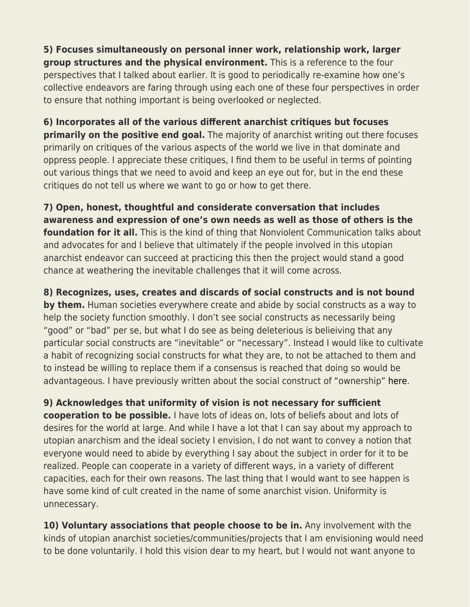**5) Focuses simultaneously on personal inner work, relationship work, larger group structures and the physical environment.** This is a reference to the four perspectives that I talked about earlier. It is good to periodically re-examine how one's collective endeavors are faring through using each one of these four perspectives in order to ensure that nothing important is being overlooked or neglected.

**6) Incorporates all of the various different anarchist critiques but focuses primarily on the positive end goal.** The majority of anarchist writing out there focuses primarily on critiques of the various aspects of the world we live in that dominate and oppress people. I appreciate these critiques, I find them to be useful in terms of pointing out various things that we need to avoid and keep an eye out for, but in the end these critiques do not tell us where we want to go or how to get there.

**7) Open, honest, thoughtful and considerate conversation that includes awareness and expression of one's own needs as well as those of others is the foundation for it all.** This is the kind of thing that Nonviolent Communication talks about and advocates for and I believe that ultimately if the people involved in this utopian anarchist endeavor can succeed at practicing this then the project would stand a good chance at weathering the inevitable challenges that it will come across.

**8) Recognizes, uses, creates and discards of social constructs and is not bound by them.** Human societies everywhere create and abide by social constructs as a way to help the society function smoothly. I don't see social constructs as necessarily being "good" or "bad" per se, but what I do see as being deleterious is belieiving that any particular social constructs are "inevitable" or "necessary". Instead I would like to cultivate a habit of recognizing social constructs for what they are, to not be attached to them and to instead be willing to replace them if a consensus is reached that doing so would be advantageous. I have previously written about the social construct of "ownership" [here](http://parenthesiseye.blogspot.com/2017/01/nobody-owns-anything.html).

**9) Acknowledges that uniformity of vision is not necessary for sufficient cooperation to be possible.** I have lots of ideas on, lots of beliefs about and lots of desires for the world at large. And while I have a lot that I can say about my approach to utopian anarchism and the ideal society I envision, I do not want to convey a notion that everyone would need to abide by everything I say about the subject in order for it to be realized. People can cooperate in a variety of different ways, in a variety of different capacities, each for their own reasons. The last thing that I would want to see happen is have some kind of cult created in the name of some anarchist vision. Uniformity is unnecessary.

**10) Voluntary associations that people choose to be in.** Any involvement with the kinds of utopian anarchist societies/communities/projects that I am envisioning would need to be done voluntarily. I hold this vision dear to my heart, but I would not want anyone to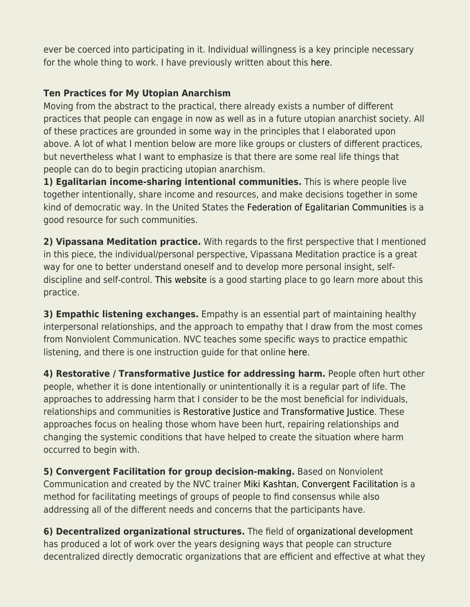ever be coerced into participating in it. Individual willingness is a key principle necessary for the whole thing to work. I have previously written about this [here.](http://parenthesiseye.blogspot.com/2016/12/voluntary-only.html)

# **Ten Practices for My Utopian Anarchism**

Moving from the abstract to the practical, there already exists a number of different practices that people can engage in now as well as in a future utopian anarchist society. All of these practices are grounded in some way in the principles that I elaborated upon above. A lot of what I mention below are more like groups or clusters of different practices, but nevertheless what I want to emphasize is that there are some real life things that people can do to begin practicing utopian anarchism.

**1) Egalitarian income-sharing intentional communities.** This is where people live together intentionally, share income and resources, and make decisions together in some kind of democratic way. In the United States the [Federation of Egalitarian Communities](https://thefec.org/) is a good resource for such communities.

**2) Vipassana Meditation practice.** With regards to the first perspective that I mentioned in this piece, the individual/personal perspective, Vipassana Meditation practice is a great way for one to better understand oneself and to develop more personal insight, selfdiscipline and self-control. [This website](https://www.dhamma.org/en-US/index) is a good starting place to go learn more about this practice.

**3) Empathic listening exchanges.** Empathy is an essential part of maintaining healthy interpersonal relationships, and the approach to empathy that I draw from the most comes from Nonviolent Communication. NVC teaches some specific ways to practice empathic listening, and there is one instruction guide for that online [here](https://www.compassionateconnecting.com/blog/empathic-listening).

**4) Restorative / Transformative Justice for addressing harm.** People often hurt other people, whether it is done intentionally or unintentionally it is a regular part of life. The approaches to addressing harm that I consider to be the most beneficial for individuals, relationships and communities is [Restorative Justice](https://en.wikipedia.org/wiki/Restorative_justice) and [Transformative Justice.](https://en.wikipedia.org/wiki/Transformative_justice) These approaches focus on healing those whom have been hurt, repairing relationships and changing the systemic conditions that have helped to create the situation where harm occurred to begin with.

**5) Convergent Facilitation for group decision-making.** Based on Nonviolent Communication and created by the NVC trainer [Miki Kashtan](https://mikikashtan.org/), [Convergent Facilitation](https://convergentfacilitation.org/) is a method for facilitating meetings of groups of people to find consensus while also addressing all of the different needs and concerns that the participants have.

**6) Decentralized organizational structures.** The field of [organizational development](https://en.wikipedia.org/wiki/Organization_development) has produced a lot of work over the years designing ways that people can structure decentralized directly democratic organizations that are efficient and effective at what they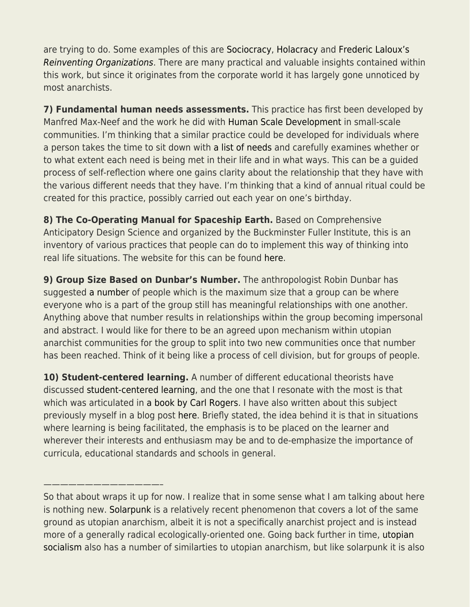are trying to do. Some examples of this are [Sociocracy,](https://en.wikipedia.org/wiki/Sociocracy) [Holacracy](https://en.wikipedia.org/wiki/Holacracy) and [Frederic Laloux's](https://www.reinventingorganizations.com/) [Reinventing Organizations](https://www.reinventingorganizations.com/). There are many practical and valuable insights contained within this work, but since it originates from the corporate world it has largely gone unnoticed by most anarchists.

**7) Fundamental human needs assessments.** This practice has first been developed by Manfred Max-Neef and the work he did with [Human Scale Development](https://web.archive.org/web/20130319153338/http://www.max-neef.cl/download/Max-neef_Human_Scale_development.pdf) in small-scale communities. I'm thinking that a similar practice could be developed for individuals where a person takes the time to sit down with [a list of needs](https://thefearlessheart.org/nvc-reference-materials/list-of-needs/) and carefully examines whether or to what extent each need is being met in their life and in what ways. This can be a guided process of self-reflection where one gains clarity about the relationship that they have with the various different needs that they have. I'm thinking that a kind of annual ritual could be created for this practice, possibly carried out each year on one's birthday.

**8) The Co-Operating Manual for Spaceship Earth.** Based on Comprehensive Anticipatory Design Science and organized by the Buckminster Fuller Institute, this is an inventory of various practices that people can do to implement this way of thinking into real life situations. The website for this can be found [here](https://spaceshipearth.live/).

**9) Group Size Based on Dunbar's Number.** The anthropologist Robin Dunbar has suggested [a number](https://en.wikipedia.org/wiki/Dunbar%27s_number) of people which is the maximum size that a group can be where everyone who is a part of the group still has meaningful relationships with one another. Anything above that number results in relationships within the group becoming impersonal and abstract. I would like for there to be an agreed upon mechanism within utopian anarchist communities for the group to split into two new communities once that number has been reached. Think of it being like a process of cell division, but for groups of people.

**10) Student-centered learning.** A number of different educational theorists have discussed [student-centered learning](https://en.wikipedia.org/wiki/Student-centered_learning), and the one that I resonate with the most is that which was articulated in [a book by Carl Rogers](https://www.amazon.com/Freedom-Learn-3rd-Carl-Rogers/dp/0024031216/ref=sr_1_2?crid=3G1Y4QMVNVU63&keywords=freedom+to+learn+rogers&qid=1654808598&s=books&sprefix=freedom+to+lea%2Cstripbooks%2C83&sr=1-2). I have also written about this subject previously myself in a blog post [here.](http://parenthesiseye.blogspot.com/2015/03/education-and-its-discontents.html) Briefly stated, the idea behind it is that in situations where learning is being facilitated, the emphasis is to be placed on the learner and wherever their interests and enthusiasm may be and to de-emphasize the importance of curricula, educational standards and schools in general.

——————————————–

So that about wraps it up for now. I realize that in some sense what I am talking about here is nothing new. [Solarpunk](https://en.wikipedia.org/wiki/Solarpunk) is a relatively recent phenomenon that covers a lot of the same ground as utopian anarchism, albeit it is not a specifically anarchist project and is instead more of a generally radical ecologically-oriented one. Going back further in time, [utopian](https://en.wikipedia.org/wiki/Utopian_socialism) [socialism](https://en.wikipedia.org/wiki/Utopian_socialism) also has a number of similarties to utopian anarchism, but like solarpunk it is also